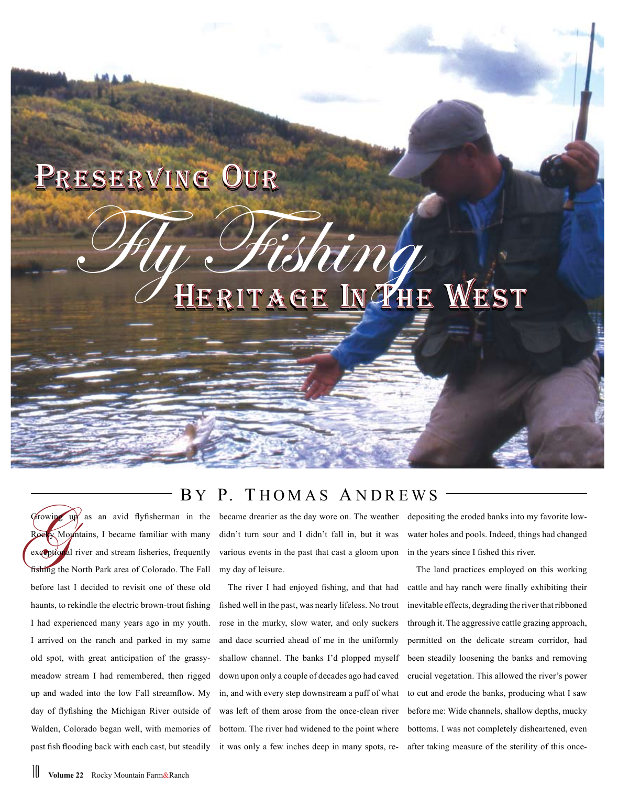## Preserving Our

HERITAGE IN THE WEST Shing

## BY P. THOMAS ANDREWS

Growing  $\frac{1}{2}$  as an avid flyfisherman in the  $\overline{\mathbf{x}}$  Mountains, I became familiar with many exceptional river and stream fisheries, frequently fishing the North Park area of Colorado. The Fall before last I decided to revisit one of these old haunts, to rekindle the electric brown-trout fishing I had experienced many years ago in my youth. I arrived on the ranch and parked in my same old spot, with great anticipation of the grassymeadow stream I had remembered, then rigged up and waded into the low Fall streamflow. My day of flyfishing the Michigan River outside of Walden, Colorado began well, with memories of past fish flooding back with each cast, but steadily

became drearier as the day wore on. The weather didn't turn sour and I didn't fall in, but it was various events in the past that cast a gloom upon my day of leisure.

The river I had enjoyed fishing, and that had fished well in the past, was nearly lifeless. No trout rose in the murky, slow water, and only suckers and dace scurried ahead of me in the uniformly shallow channel. The banks I'd plopped myself down upon only a couple of decades ago had caved in, and with every step downstream a puff of what was left of them arose from the once-clean river bottom. The river had widened to the point where it was only a few inches deep in many spots, redepositing the eroded banks into my favorite lowwater holes and pools. Indeed, things had changed in the years since I fished this river.

The land practices employed on this working cattle and hay ranch were finally exhibiting their inevitable effects, degrading the river that ribboned through it. The aggressive cattle grazing approach, permitted on the delicate stream corridor, had been steadily loosening the banks and removing crucial vegetation. This allowed the river's power to cut and erode the banks, producing what I saw before me: Wide channels, shallow depths, mucky bottoms. I was not completely disheartened, even after taking measure of the sterility of this once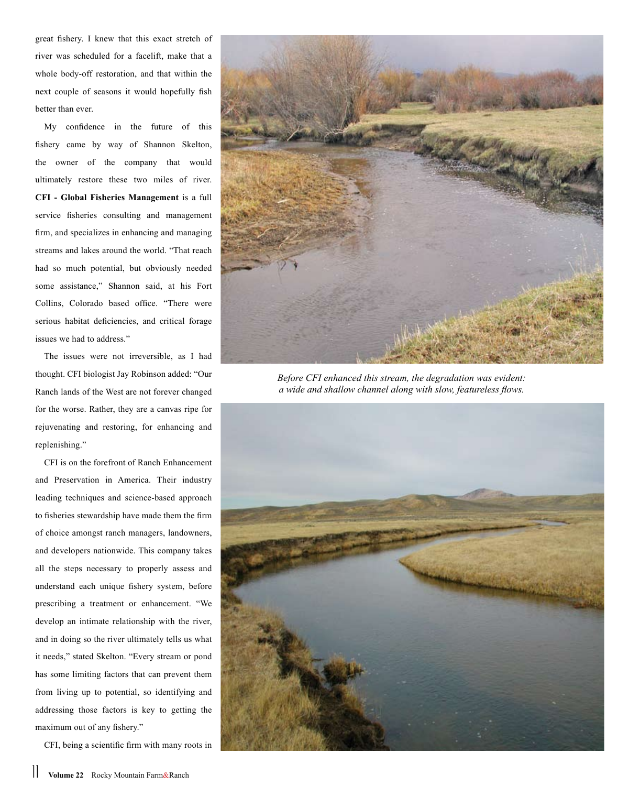great fishery. I knew that this exact stretch of river was scheduled for a facelift, make that a whole body-off restoration, and that within the next couple of seasons it would hopefully fish better than ever.

My confidence in the future of this fishery came by way of Shannon Skelton, the owner of the company that would ultimately restore these two miles of river. **CFI - Global Fisheries Management** is a full service fisheries consulting and management firm, and specializes in enhancing and managing streams and lakes around the world. "That reach had so much potential, but obviously needed some assistance," Shannon said, at his Fort Collins, Colorado based office. "There were serious habitat deficiencies, and critical forage issues we had to address."

The issues were not irreversible, as I had thought. CFI biologist Jay Robinson added: "Our Ranch lands of the West are not forever changed for the worse. Rather, they are a canvas ripe for rejuvenating and restoring, for enhancing and replenishing."

CFI is on the forefront of Ranch Enhancement and Preservation in America. Their industry leading techniques and science-based approach to fisheries stewardship have made them the firm of choice amongst ranch managers, landowners, and developers nationwide. This company takes all the steps necessary to properly assess and understand each unique fishery system, before prescribing a treatment or enhancement. "We develop an intimate relationship with the river, and in doing so the river ultimately tells us what it needs," stated Skelton. "Every stream or pond has some limiting factors that can prevent them from living up to potential, so identifying and addressing those factors is key to getting the maximum out of any fishery."

CFI, being a scientific firm with many roots in



*Before CFI enhanced this stream, the degradation was evident: a wide and shallow channel along with slow, featureless flows.*